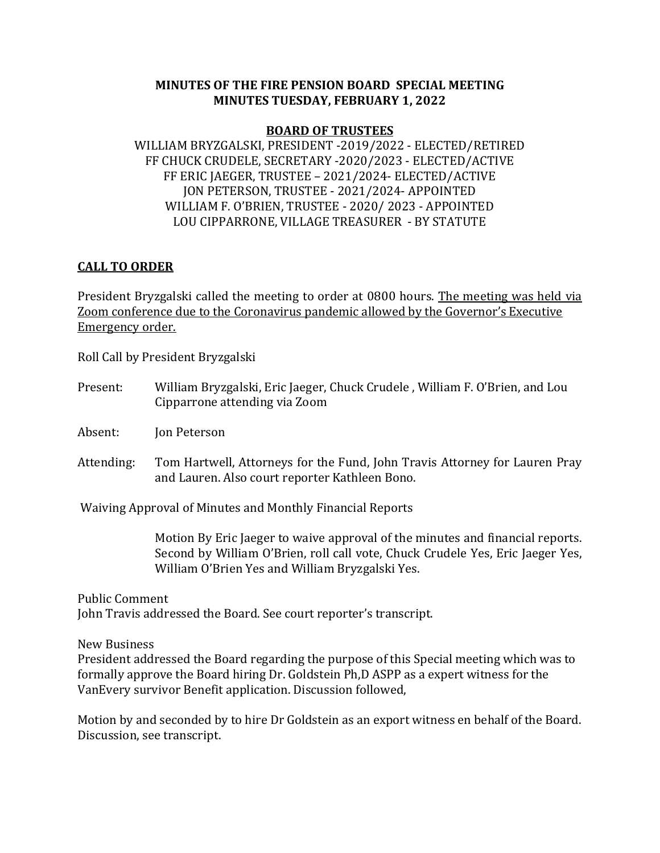## **MINUTES OF THE FIRE PENSION BOARD SPECIAL MEETING MINUTES TUESDAY, FEBRUARY 1, 2022**

## **BOARD OF TRUSTEES**

WILLIAM BRYZGALSKI, PRESIDENT -2019/2022 - ELECTED/RETIRED FF CHUCK CRUDELE, SECRETARY -2020/2023 - ELECTED/ACTIVE FF ERIC JAEGER, TRUSTEE – 2021/2024- ELECTED/ACTIVE JON PETERSON, TRUSTEE - 2021/2024- APPOINTED WILLIAM F. O'BRIEN, TRUSTEE - 2020/ 2023 - APPOINTED LOU CIPPARRONE, VILLAGE TREASURER - BY STATUTE

## **CALL TO ORDER**

President Bryzgalski called the meeting to order at 0800 hours. The meeting was held via Zoom conference due to the Coronavirus pandemic allowed by the Governor's Executive Emergency order.

Roll Call by President Bryzgalski

Present: William Bryzgalski, Eric Jaeger, Chuck Crudele , William F. O'Brien, and Lou Cipparrone attending via Zoom

Absent: Jon Peterson

Attending: Tom Hartwell, Attorneys for the Fund, John Travis Attorney for Lauren Pray and Lauren. Also court reporter Kathleen Bono.

Waiving Approval of Minutes and Monthly Financial Reports

 Motion By Eric Jaeger to waive approval of the minutes and financial reports. Second by William O'Brien, roll call vote, Chuck Crudele Yes, Eric Jaeger Yes, William O'Brien Yes and William Bryzgalski Yes.

Public Comment John Travis addressed the Board. See court reporter's transcript.

New Business

President addressed the Board regarding the purpose of this Special meeting which was to formally approve the Board hiring Dr. Goldstein Ph,D ASPP as a expert witness for the VanEvery survivor Benefit application. Discussion followed,

Motion by and seconded by to hire Dr Goldstein as an export witness en behalf of the Board. Discussion, see transcript.